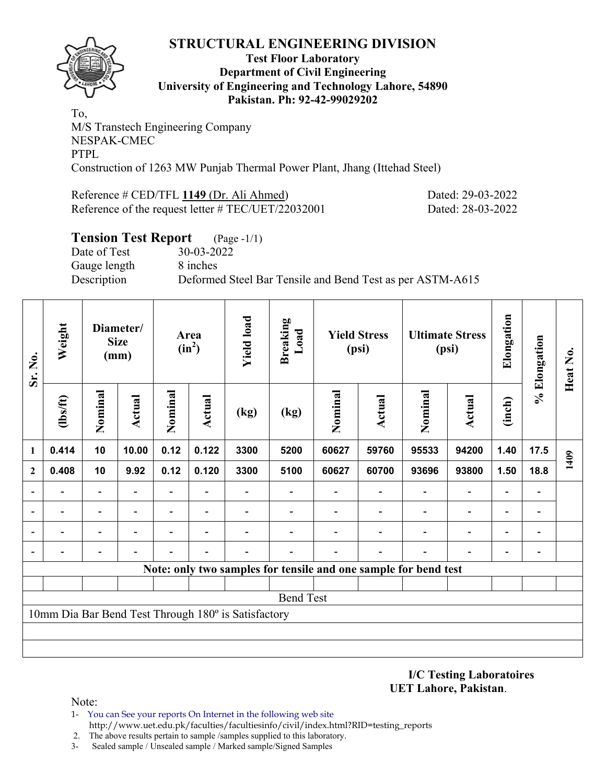

#### **Test Floor Laboratory Department of Civil Engineering University of Engineering and Technology Lahore, 54890 Pakistan. Ph: 92-42-99029202**

To, M/S Transtech Engineering Company NESPAK-CMEC PTPL Construction of 1263 MW Punjab Thermal Power Plant, Jhang (Ittehad Steel)

Reference # CED/TFL **1149** (Dr. Ali Ahmed) Dated: 29-03-2022 Reference of the request letter # TEC/UET/22032001 Dated: 28-03-2022

# **Tension Test Report** (Page -1/1) Date of Test 30-03-2022 Gauge length 8 inches Description Deformed Steel Bar Tensile and Bend Test as per ASTM-A615

| Sr. No.      | Weight                   |                          | Diameter/<br><b>Size</b><br>(mm) |                          | Area<br>$(in^2)$ | <b>Yield load</b>                                   | <b>Breaking</b><br>Load |         | <b>Yield Stress</b><br>(psi)                                    |                | <b>Ultimate Stress</b><br>(psi) | Elongation               | % Elongation                 | Heat No. |
|--------------|--------------------------|--------------------------|----------------------------------|--------------------------|------------------|-----------------------------------------------------|-------------------------|---------|-----------------------------------------------------------------|----------------|---------------------------------|--------------------------|------------------------------|----------|
|              | $\frac{2}{10}$           | Nominal                  | <b>Actual</b>                    | Nominal                  | <b>Actual</b>    | (kg)                                                | (kg)                    | Nominal | <b>Actual</b>                                                   | Nominal        | <b>Actual</b>                   | (inch)                   |                              |          |
| 1            | 0.414                    | 10                       | 10.00                            | 0.12                     | 0.122            | 3300                                                | 5200                    | 60627   | 59760                                                           | 95533          | 94200                           | 1.40                     | 17.5                         | 1409     |
| $\mathbf{2}$ | 0.408                    | 10                       | 9.92                             | 0.12                     | 0.120            | 3300                                                | 5100                    | 60627   | 60700                                                           | 93696          | 93800                           | 1.50                     | 18.8                         |          |
|              | $\overline{\phantom{0}}$ | $\overline{\phantom{a}}$ |                                  | Ξ.                       |                  |                                                     |                         |         |                                                                 |                | $\overline{a}$                  | $\overline{a}$           |                              |          |
|              | $\overline{\phantom{0}}$ | $\overline{\phantom{a}}$ | $\overline{\phantom{0}}$         | $\overline{\phantom{0}}$ | $\blacksquare$   |                                                     |                         |         | -                                                               | $\overline{a}$ | $\qquad \qquad \blacksquare$    | $\overline{\phantom{a}}$ | $\blacksquare$               |          |
|              |                          |                          |                                  | $\overline{\phantom{0}}$ |                  |                                                     |                         |         |                                                                 |                | $\overline{\phantom{0}}$        | $\overline{\phantom{0}}$ | $\qquad \qquad \blacksquare$ |          |
|              |                          |                          |                                  |                          |                  |                                                     |                         |         |                                                                 |                |                                 | -                        |                              |          |
|              |                          |                          |                                  |                          |                  |                                                     |                         |         | Note: only two samples for tensile and one sample for bend test |                |                                 |                          |                              |          |
|              |                          |                          |                                  |                          |                  |                                                     |                         |         |                                                                 |                |                                 |                          |                              |          |
|              |                          |                          |                                  |                          |                  |                                                     | <b>Bend Test</b>        |         |                                                                 |                |                                 |                          |                              |          |
|              |                          |                          |                                  |                          |                  | 10mm Dia Bar Bend Test Through 180° is Satisfactory |                         |         |                                                                 |                |                                 |                          |                              |          |
|              |                          |                          |                                  |                          |                  |                                                     |                         |         |                                                                 |                |                                 |                          |                              |          |
|              |                          |                          |                                  |                          |                  |                                                     |                         |         |                                                                 |                |                                 |                          |                              |          |

**I/C Testing Laboratoires UET Lahore, Pakistan**.

- 1- You can See your reports On Internet in the following web site http://www.uet.edu.pk/faculties/facultiesinfo/civil/index.html?RID=testing\_reports
- 2. The above results pertain to sample /samples supplied to this laboratory.
- 3- Sealed sample / Unsealed sample / Marked sample/Signed Samples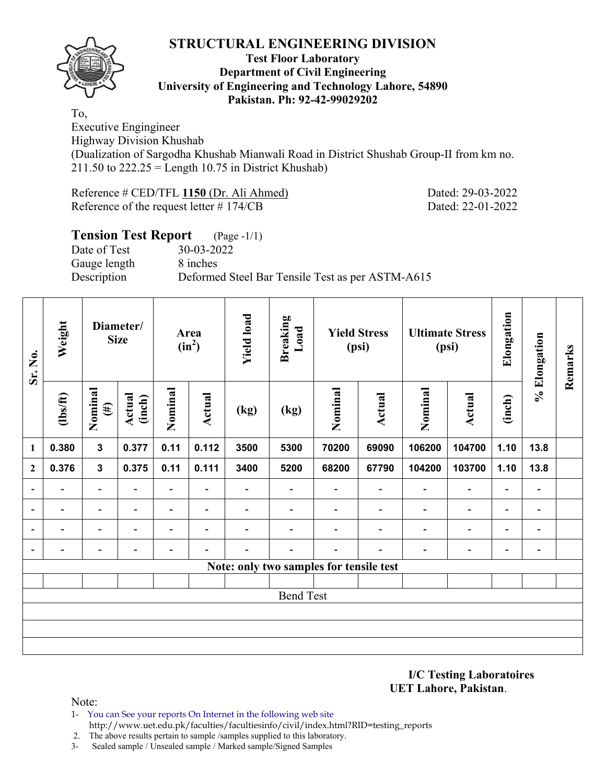

### **Test Floor Laboratory Department of Civil Engineering University of Engineering and Technology Lahore, 54890 Pakistan. Ph: 92-42-99029202**

To,

Executive Engingineer Highway Division Khushab (Dualization of Sargodha Khushab Mianwali Road in District Shushab Group-II from km no.  $211.50$  to  $222.25 =$  Length 10.75 in District Khushab)

Reference # CED/TFL **1150** (Dr. Ali Ahmed) Dated: 29-03-2022 Reference of the request letter # 174/CB Dated: 22-01-2022

|                                                                 | <b>Tension Test Report</b> (Page -1/1) |
|-----------------------------------------------------------------|----------------------------------------|
| $30 - 03 - 2022$<br>Date of Test                                |                                        |
| 8 inches<br>Gauge length                                        |                                        |
| Description<br>Deformed Steel Bar Tensile Test as per ASTM-A615 |                                        |

| Sr. No.                  | Weight                   |                          | Diameter/<br><b>Size</b>     |                          | Area<br>$(in^2)$             | <b>Yield load</b>        | <b>Breaking</b><br>Load                 |                          | <b>Yield Stress</b><br>(psi) |                          | <b>Ultimate Stress</b><br>(psi) | Elongation               | % Elongation             | Remarks |
|--------------------------|--------------------------|--------------------------|------------------------------|--------------------------|------------------------------|--------------------------|-----------------------------------------|--------------------------|------------------------------|--------------------------|---------------------------------|--------------------------|--------------------------|---------|
|                          | $\frac{2}{10}$           | Nominal<br>$(\#)$        | <b>Actual</b><br>(inch)      | Nominal                  | <b>Actual</b>                | (kg)                     | (kg)                                    | Nominal                  | <b>Actual</b>                | Nominal                  | <b>Actual</b>                   | (inch)                   |                          |         |
| $\mathbf{1}$             | 0.380                    | $\overline{\mathbf{3}}$  | 0.377                        | 0.11                     | 0.112                        | 3500                     | 5300                                    | 70200                    | 69090                        | 106200                   | 104700                          | 1.10                     | 13.8                     |         |
| $\overline{2}$           | 0.376                    | $\overline{\mathbf{3}}$  | 0.375                        | 0.11                     | 0.111                        | 3400                     | 5200                                    | 68200                    | 67790                        | 104200                   | 103700                          | 1.10                     | 13.8                     |         |
| $\overline{\phantom{a}}$ | $\overline{\phantom{0}}$ | $\overline{\phantom{a}}$ | $\qquad \qquad \blacksquare$ | $\overline{\phantom{a}}$ | $\qquad \qquad \blacksquare$ | $\overline{\phantom{a}}$ | $\overline{\phantom{0}}$                | $\overline{\phantom{a}}$ | $\blacksquare$               | $\overline{\phantom{a}}$ | $\blacksquare$                  | $\overline{\phantom{a}}$ | $\blacksquare$           |         |
| $\blacksquare$           |                          | $\overline{\phantom{a}}$ |                              | $\overline{\phantom{0}}$ | $\overline{\phantom{0}}$     |                          |                                         |                          | $\overline{\phantom{0}}$     | $\overline{\phantom{a}}$ | $\blacksquare$                  | $\overline{\phantom{0}}$ | $\overline{\phantom{a}}$ |         |
| $\overline{\phantom{a}}$ | $\overline{\phantom{a}}$ | $\overline{\phantom{a}}$ | $\blacksquare$               | $\overline{\phantom{0}}$ | $\overline{\phantom{0}}$     |                          | $\blacksquare$                          | $\blacksquare$           | $\overline{\phantom{0}}$     | $\overline{\phantom{a}}$ | $\blacksquare$                  | $\overline{\phantom{a}}$ | $\overline{\phantom{a}}$ |         |
| $\overline{\phantom{a}}$ | $\overline{a}$           | $\overline{\phantom{0}}$ | $\overline{\phantom{0}}$     | $\overline{\phantom{a}}$ | $\overline{\phantom{0}}$     |                          | $\overline{\phantom{0}}$                | $\overline{\phantom{0}}$ | $\overline{\phantom{0}}$     | $\overline{\phantom{a}}$ | $\overline{\phantom{a}}$        | $\overline{\phantom{a}}$ | $\overline{\phantom{a}}$ |         |
|                          |                          |                          |                              |                          |                              |                          | Note: only two samples for tensile test |                          |                              |                          |                                 |                          |                          |         |
|                          |                          |                          |                              |                          |                              |                          |                                         |                          |                              |                          |                                 |                          |                          |         |
|                          |                          |                          |                              |                          |                              |                          | <b>Bend Test</b>                        |                          |                              |                          |                                 |                          |                          |         |
|                          |                          |                          |                              |                          |                              |                          |                                         |                          |                              |                          |                                 |                          |                          |         |
|                          |                          |                          |                              |                          |                              |                          |                                         |                          |                              |                          |                                 |                          |                          |         |
|                          |                          |                          |                              |                          |                              |                          |                                         |                          |                              |                          |                                 |                          |                          |         |

**I/C Testing Laboratoires UET Lahore, Pakistan**.

- 1- You can See your reports On Internet in the following web site http://www.uet.edu.pk/faculties/facultiesinfo/civil/index.html?RID=testing\_reports
- 2. The above results pertain to sample /samples supplied to this laboratory.
- 3- Sealed sample / Unsealed sample / Marked sample/Signed Samples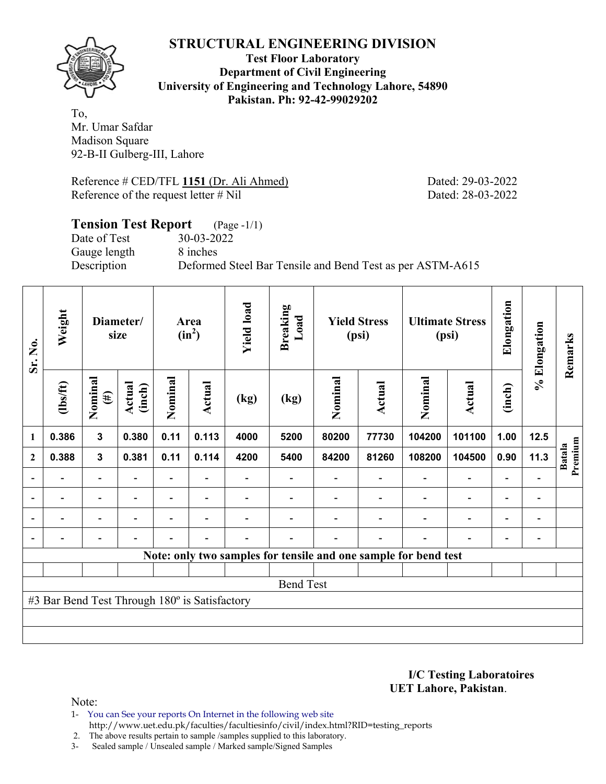

**Test Floor Laboratory Department of Civil Engineering University of Engineering and Technology Lahore, 54890 Pakistan. Ph: 92-42-99029202** 

To, Mr. Umar Safdar Madison Square 92-B-II Gulberg-III, Lahore

Reference # CED/TFL **1151** (Dr. Ali Ahmed) Dated: 29-03-2022 Reference of the request letter # Nil Dated: 28-03-2022

# **Tension Test Report** (Page -1/1) Date of Test 30-03-2022 Gauge length 8 inches

Description Deformed Steel Bar Tensile and Bend Test as per ASTM-A615

| Sr. No.      | Weight                                        |                          | Diameter/<br>size       |         | Area<br>$(in^2)$         | <b>Yield load</b> | <b>Breaking</b><br>Load                                         |         | <b>Yield Stress</b><br>(psi) |         | <b>Ultimate Stress</b><br>(psi) | Elongation               | % Elongation             | Remarks                  |
|--------------|-----------------------------------------------|--------------------------|-------------------------|---------|--------------------------|-------------------|-----------------------------------------------------------------|---------|------------------------------|---------|---------------------------------|--------------------------|--------------------------|--------------------------|
|              | $lbsft$                                       | Nominal<br>$(\#)$        | <b>Actual</b><br>(inch) | Nominal | Actual                   | (kg)              | (kg)                                                            | Nominal | Actual                       | Nominal | Actual                          | (inch)                   |                          |                          |
| 1            | 0.386                                         | $\mathbf{3}$             | 0.380                   | 0.11    | 0.113                    | 4000              | 5200                                                            | 80200   | 77730                        | 104200  | 101100                          | 1.00                     | $12.5$                   |                          |
| $\mathbf{2}$ | 0.388                                         | $\mathbf{3}$             | 0.381                   | 0.11    | 0.114                    | 4200              | 5400                                                            | 84200   | 81260                        | 108200  | 104500                          | 0.90                     | 11.3                     | Premium<br><b>Batala</b> |
|              |                                               |                          |                         |         |                          |                   |                                                                 |         |                              |         | $\overline{\phantom{0}}$        |                          |                          |                          |
|              |                                               | $\overline{\phantom{0}}$ |                         |         |                          |                   |                                                                 |         |                              |         | $\overline{\phantom{0}}$        | $\overline{\phantom{0}}$ |                          |                          |
|              | $\blacksquare$                                | $\overline{\phantom{0}}$ |                         |         | $\overline{\phantom{0}}$ |                   |                                                                 |         |                              |         | $\overline{a}$                  | $\overline{\phantom{0}}$ | $\overline{\phantom{0}}$ |                          |
|              | $\overline{\phantom{0}}$                      | $\overline{\phantom{0}}$ |                         |         | ٠                        |                   |                                                                 |         |                              | ٠       | $\overline{\phantom{0}}$        | $\overline{\phantom{0}}$ |                          |                          |
|              |                                               |                          |                         |         |                          |                   | Note: only two samples for tensile and one sample for bend test |         |                              |         |                                 |                          |                          |                          |
|              |                                               |                          |                         |         |                          |                   |                                                                 |         |                              |         |                                 |                          |                          |                          |
|              |                                               |                          |                         |         |                          |                   | <b>Bend Test</b>                                                |         |                              |         |                                 |                          |                          |                          |
|              | #3 Bar Bend Test Through 180° is Satisfactory |                          |                         |         |                          |                   |                                                                 |         |                              |         |                                 |                          |                          |                          |
|              |                                               |                          |                         |         |                          |                   |                                                                 |         |                              |         |                                 |                          |                          |                          |
|              |                                               |                          |                         |         |                          |                   |                                                                 |         |                              |         |                                 |                          |                          |                          |

**I/C Testing Laboratoires UET Lahore, Pakistan**.

Note:

1- You can See your reports On Internet in the following web site http://www.uet.edu.pk/faculties/facultiesinfo/civil/index.html?RID=testing\_reports

2. The above results pertain to sample /samples supplied to this laboratory.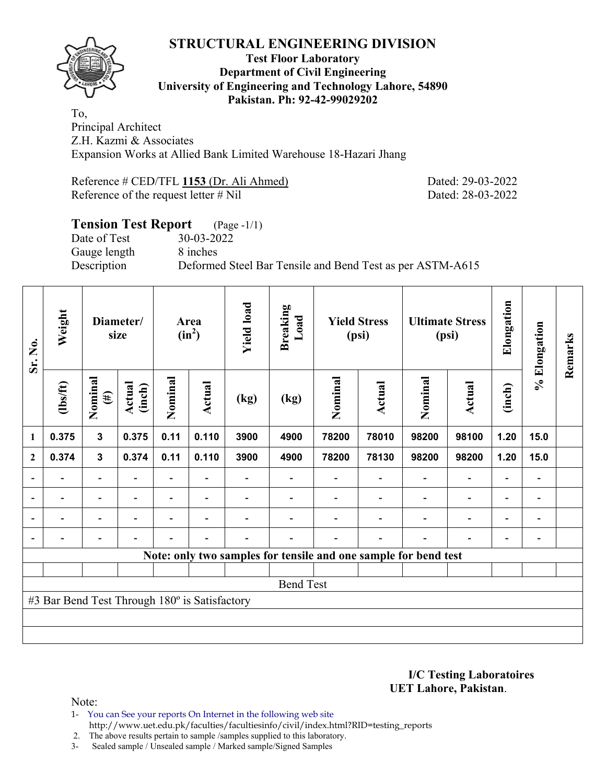

### **Test Floor Laboratory Department of Civil Engineering University of Engineering and Technology Lahore, 54890 Pakistan. Ph: 92-42-99029202**

To, Principal Architect Z.H. Kazmi & Associates Expansion Works at Allied Bank Limited Warehouse 18-Hazari Jhang

Reference # CED/TFL **1153** (Dr. Ali Ahmed) Dated: 29-03-2022 Reference of the request letter # Nil Dated: 28-03-2022

# **Tension Test Report** (Page -1/1) Date of Test 30-03-2022 Gauge length 8 inches Description Deformed Steel Bar Tensile and Bend Test as per ASTM-A615

| Sr. No.        | Weight                                        |                              | Diameter/<br>size        |                          | Area<br>$(in^2)$         | <b>Yield load</b> | <b>Breaking</b><br>Load                                         |         | <b>Yield Stress</b><br>(psi) |                          | <b>Ultimate Stress</b><br>(psi) | Elongation               | % Elongation                 | Remarks |
|----------------|-----------------------------------------------|------------------------------|--------------------------|--------------------------|--------------------------|-------------------|-----------------------------------------------------------------|---------|------------------------------|--------------------------|---------------------------------|--------------------------|------------------------------|---------|
|                | $\frac{2}{10}$                                | Nominal<br>$(\#)$            | Actual<br>(inch)         | Nominal                  | Actual                   | (kg)              | (kg)                                                            | Nominal | Actual                       | Nominal                  | Actual                          | (inch)                   |                              |         |
| $\mathbf{1}$   | 0.375                                         | $\mathbf{3}$                 | 0.375                    | 0.11                     | 0.110                    | 3900              | 4900                                                            | 78200   | 78010                        | 98200                    | 98100                           | 1.20                     | 15.0                         |         |
| $\mathbf{2}$   | 0.374                                         | 3                            | 0.374                    | 0.11                     | 0.110                    | 3900              | 4900                                                            | 78200   | 78130                        | 98200                    | 98200                           | 1.20                     | 15.0                         |         |
|                |                                               | $\overline{\phantom{0}}$     |                          | $\overline{\phantom{a}}$ |                          |                   |                                                                 |         |                              |                          | $\overline{\phantom{a}}$        | $\blacksquare$           | $\qquad \qquad \blacksquare$ |         |
| $\overline{a}$ |                                               | $\qquad \qquad \blacksquare$ |                          |                          | $\overline{\phantom{a}}$ |                   |                                                                 |         |                              |                          | $\overline{\phantom{a}}$        | $\overline{\phantom{0}}$ | $\overline{a}$               |         |
| $\overline{a}$ |                                               | $\overline{\phantom{a}}$     | $\overline{\phantom{a}}$ |                          | $\blacksquare$           |                   |                                                                 |         | $\overline{\phantom{0}}$     | $\overline{\phantom{0}}$ | $\overline{\phantom{a}}$        | $\overline{\phantom{a}}$ | $\overline{\phantom{a}}$     |         |
|                | $\overline{a}$                                | $\overline{\phantom{0}}$     |                          |                          | $\blacksquare$           |                   |                                                                 |         | $\blacksquare$               | $\overline{\phantom{0}}$ | $\overline{\phantom{a}}$        | $\overline{\phantom{a}}$ | $\overline{\phantom{a}}$     |         |
|                |                                               |                              |                          |                          |                          |                   | Note: only two samples for tensile and one sample for bend test |         |                              |                          |                                 |                          |                              |         |
|                |                                               |                              |                          |                          |                          |                   |                                                                 |         |                              |                          |                                 |                          |                              |         |
|                |                                               |                              |                          |                          |                          |                   | <b>Bend Test</b>                                                |         |                              |                          |                                 |                          |                              |         |
|                | #3 Bar Bend Test Through 180° is Satisfactory |                              |                          |                          |                          |                   |                                                                 |         |                              |                          |                                 |                          |                              |         |
|                |                                               |                              |                          |                          |                          |                   |                                                                 |         |                              |                          |                                 |                          |                              |         |
|                |                                               |                              |                          |                          |                          |                   |                                                                 |         |                              |                          |                                 |                          |                              |         |

**I/C Testing Laboratoires UET Lahore, Pakistan**.

- 1- You can See your reports On Internet in the following web site http://www.uet.edu.pk/faculties/facultiesinfo/civil/index.html?RID=testing\_reports
- 2. The above results pertain to sample /samples supplied to this laboratory.
- 3- Sealed sample / Unsealed sample / Marked sample/Signed Samples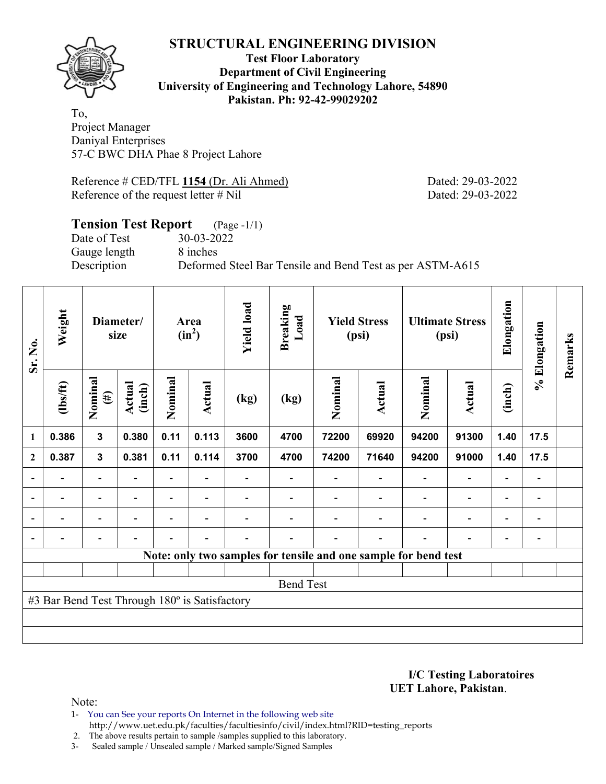

### **Test Floor Laboratory Department of Civil Engineering University of Engineering and Technology Lahore, 54890 Pakistan. Ph: 92-42-99029202**

To, Project Manager Daniyal Enterprises 57-C BWC DHA Phae 8 Project Lahore

Reference # CED/TFL 1154 (Dr. Ali Ahmed) Dated: 29-03-2022 Reference of the request letter # Nil Dated: 29-03-2022

#### **Tension Test Report** (Page -1/1) Date of Test 30-03-2022 Gauge length 8 inches Description Deformed Steel Bar Tensile and Bend Test as per ASTM-A615

| Sr. No.                  | Weight                                        |                          | Diameter/<br>size        |                | Area<br>$(in^2)$ | <b>Yield load</b>        | <b>Breaking</b><br>Load |         | <b>Yield Stress</b><br>(psi) |                                                                 | <b>Ultimate Stress</b><br>(psi) | Elongation               | % Elongation                 | Remarks |
|--------------------------|-----------------------------------------------|--------------------------|--------------------------|----------------|------------------|--------------------------|-------------------------|---------|------------------------------|-----------------------------------------------------------------|---------------------------------|--------------------------|------------------------------|---------|
|                          | $lbsft$                                       | Nominal<br>$(\#)$        | Actual<br>(inch)         | Nominal        | <b>Actual</b>    | (kg)                     | (kg)                    | Nominal | Actual                       | Nominal                                                         | Actual                          | (inch)                   |                              |         |
| 1                        | 0.386                                         | $\mathbf{3}$             | 0.380                    | 0.11           | 0.113            | 3600                     | 4700                    | 72200   | 69920                        | 94200                                                           | 91300                           | 1.40                     | 17.5                         |         |
| $\mathbf{2}$             | 0.387                                         | $\mathbf{3}$             | 0.381                    | 0.11           | 0.114            | 3700                     | 4700                    | 74200   | 71640                        | 94200                                                           | 91000                           | 1.40                     | 17.5                         |         |
|                          |                                               | $\overline{\phantom{0}}$ |                          |                |                  |                          |                         |         |                              |                                                                 | $\overline{\phantom{0}}$        | $\overline{\phantom{0}}$ |                              |         |
| $\overline{a}$           | $\overline{\phantom{0}}$                      | $\blacksquare$           | $\overline{\phantom{a}}$ |                | $\blacksquare$   | $\overline{\phantom{0}}$ |                         |         | $\overline{\phantom{a}}$     | $\overline{\phantom{a}}$                                        | $\overline{\phantom{a}}$        | $\overline{\phantom{a}}$ | $\overline{\phantom{a}}$     |         |
| $\overline{a}$           | -                                             | $\overline{\phantom{0}}$ | $\overline{\phantom{0}}$ |                | $\blacksquare$   |                          |                         |         |                              | ٠                                                               | $\overline{a}$                  | $\overline{\phantom{0}}$ | $\qquad \qquad \blacksquare$ |         |
| $\overline{\phantom{0}}$ | $\overline{a}$                                | -                        | $\overline{\phantom{0}}$ | $\blacksquare$ | $\blacksquare$   | $\blacksquare$           |                         |         | $\overline{\phantom{0}}$     | $\overline{\phantom{0}}$                                        | $\overline{\phantom{0}}$        | $\overline{\phantom{a}}$ | $\qquad \qquad \blacksquare$ |         |
|                          |                                               |                          |                          |                |                  |                          |                         |         |                              | Note: only two samples for tensile and one sample for bend test |                                 |                          |                              |         |
|                          |                                               |                          |                          |                |                  |                          |                         |         |                              |                                                                 |                                 |                          |                              |         |
|                          |                                               |                          |                          |                |                  |                          | <b>Bend Test</b>        |         |                              |                                                                 |                                 |                          |                              |         |
|                          | #3 Bar Bend Test Through 180° is Satisfactory |                          |                          |                |                  |                          |                         |         |                              |                                                                 |                                 |                          |                              |         |
|                          |                                               |                          |                          |                |                  |                          |                         |         |                              |                                                                 |                                 |                          |                              |         |
|                          |                                               |                          |                          |                |                  |                          |                         |         |                              |                                                                 |                                 |                          |                              |         |

**I/C Testing Laboratoires UET Lahore, Pakistan**.

Note:

1- You can See your reports On Internet in the following web site http://www.uet.edu.pk/faculties/facultiesinfo/civil/index.html?RID=testing\_reports

2. The above results pertain to sample /samples supplied to this laboratory.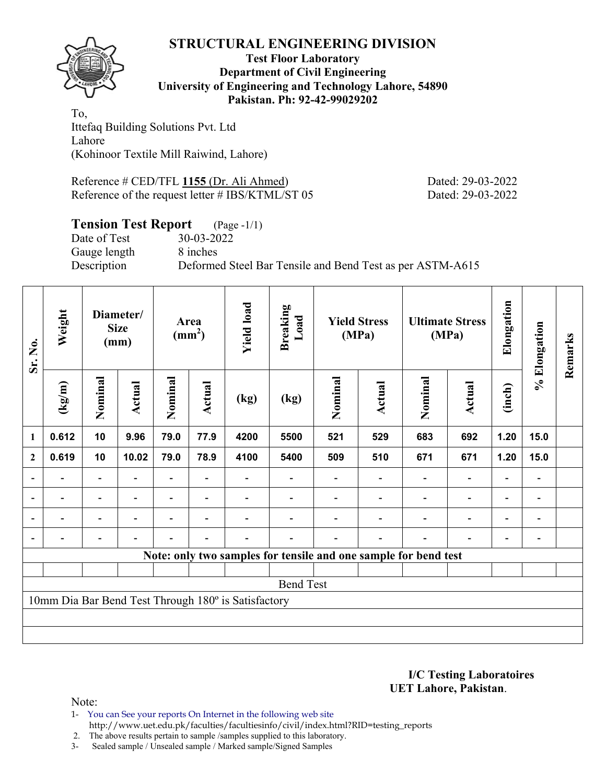

### **Test Floor Laboratory Department of Civil Engineering University of Engineering and Technology Lahore, 54890 Pakistan. Ph: 92-42-99029202**

To, Ittefaq Building Solutions Pvt. Ltd Lahore (Kohinoor Textile Mill Raiwind, Lahore)

Reference # CED/TFL **1155** (Dr. Ali Ahmed) Dated: 29-03-2022 Reference of the request letter # IBS/KTML/ST 05 Dated: 29-03-2022

## **Tension Test Report** (Page -1/1)

Date of Test 30-03-2022 Gauge length 8 inches

Description Deformed Steel Bar Tensile and Bend Test as per ASTM-A615

| Sr. No.                  | Weight                   |                          | Diameter/<br><b>Size</b><br>(mm) |                          | Area<br>$\text{(mm}^2)$  | <b>Yield load</b>                                   | <b>Breaking</b><br>Load |         | <b>Yield Stress</b><br>(MPa) |                                                                 | <b>Ultimate Stress</b><br>(MPa) | Elongation               | % Elongation                 | Remarks |
|--------------------------|--------------------------|--------------------------|----------------------------------|--------------------------|--------------------------|-----------------------------------------------------|-------------------------|---------|------------------------------|-----------------------------------------------------------------|---------------------------------|--------------------------|------------------------------|---------|
|                          | (kg/m)                   | Nominal                  | Actual                           | Nominal                  | Actual                   | (kg)                                                | (kg)                    | Nominal | Actual                       | Nominal                                                         | <b>Actual</b>                   | (inch)                   |                              |         |
| 1                        | 0.612                    | 10                       | 9.96                             | 79.0                     | 77.9                     | 4200                                                | 5500                    | 521     | 529                          | 683                                                             | 692                             | 1.20                     | 15.0                         |         |
| $\mathbf{2}$             | 0.619                    | 10                       | 10.02                            | 79.0                     | 78.9                     | 4100                                                | 5400                    | 509     | 510                          | 671                                                             | 671                             | 1.20                     | 15.0                         |         |
|                          |                          | $\overline{\phantom{0}}$ |                                  | $\overline{\phantom{0}}$ |                          |                                                     |                         |         |                              | $\overline{\phantom{a}}$                                        | $\overline{\phantom{a}}$        | $\overline{\phantom{a}}$ | $\qquad \qquad \blacksquare$ |         |
| $\overline{\phantom{a}}$ |                          | $\blacksquare$           | $\overline{\phantom{0}}$         | $\overline{\phantom{0}}$ | $\overline{\phantom{a}}$ |                                                     |                         |         | $\overline{\phantom{a}}$     | $\overline{\phantom{a}}$                                        | $\overline{\phantom{a}}$        | $\overline{\phantom{a}}$ | $\overline{\phantom{a}}$     |         |
| $\blacksquare$           | $\overline{\phantom{0}}$ | $\overline{\phantom{0}}$ | $\overline{\phantom{0}}$         | $\overline{\phantom{0}}$ | $\overline{\phantom{a}}$ |                                                     |                         |         | $\blacksquare$               | $\blacksquare$                                                  | $\overline{\phantom{a}}$        | $\overline{\phantom{a}}$ | $\qquad \qquad \blacksquare$ |         |
| $\blacksquare$           |                          | $\overline{a}$           | -                                | $\blacksquare$           | $\overline{\phantom{0}}$ | $\blacksquare$                                      |                         |         | $\blacksquare$               | $\overline{\phantom{0}}$                                        | $\overline{\phantom{0}}$        | $\overline{\phantom{a}}$ | $\qquad \qquad \blacksquare$ |         |
|                          |                          |                          |                                  |                          |                          |                                                     |                         |         |                              | Note: only two samples for tensile and one sample for bend test |                                 |                          |                              |         |
|                          |                          |                          |                                  |                          |                          |                                                     |                         |         |                              |                                                                 |                                 |                          |                              |         |
|                          |                          |                          |                                  |                          |                          |                                                     | <b>Bend Test</b>        |         |                              |                                                                 |                                 |                          |                              |         |
|                          |                          |                          |                                  |                          |                          | 10mm Dia Bar Bend Test Through 180° is Satisfactory |                         |         |                              |                                                                 |                                 |                          |                              |         |
|                          |                          |                          |                                  |                          |                          |                                                     |                         |         |                              |                                                                 |                                 |                          |                              |         |
|                          |                          |                          |                                  |                          |                          |                                                     |                         |         |                              |                                                                 |                                 |                          |                              |         |

**I/C Testing Laboratoires UET Lahore, Pakistan**.

Note:

1- You can See your reports On Internet in the following web site http://www.uet.edu.pk/faculties/facultiesinfo/civil/index.html?RID=testing\_reports

2. The above results pertain to sample /samples supplied to this laboratory.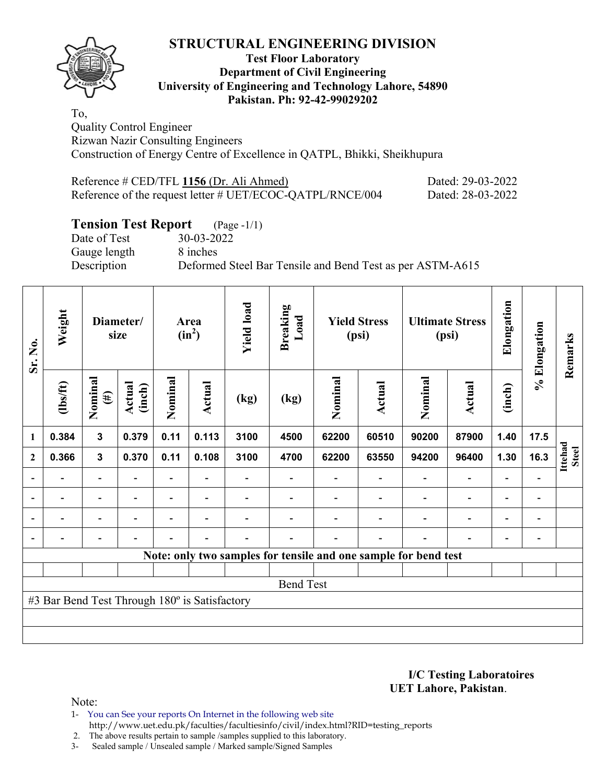

### **Test Floor Laboratory Department of Civil Engineering University of Engineering and Technology Lahore, 54890 Pakistan. Ph: 92-42-99029202**

To, Quality Control Engineer Rizwan Nazir Consulting Engineers Construction of Energy Centre of Excellence in QATPL, Bhikki, Sheikhupura

| Reference # CED/TFL 1156 (Dr. Ali Ahmed)                  | Dated: 29-03-2022 |
|-----------------------------------------------------------|-------------------|
| Reference of the request letter # UET/ECOC-QATPL/RNCE/004 | Dated: 28-03-2022 |

# **Tension Test Report** (Page -1/1)

Date of Test 30-03-2022 Gauge length 8 inches

Description Deformed Steel Bar Tensile and Bend Test as per ASTM-A615

| Sr. No.                  | Weight                                        |                          | Diameter/<br>size |                | Area<br>$(in^2)$ | <b>Yield load</b>        | <b>Breaking</b><br>Load                                         |         | <b>Yield Stress</b><br>(psi) |         | <b>Ultimate Stress</b><br>(psi) | Elongation               | % Elongation                 | Remarks                 |
|--------------------------|-----------------------------------------------|--------------------------|-------------------|----------------|------------------|--------------------------|-----------------------------------------------------------------|---------|------------------------------|---------|---------------------------------|--------------------------|------------------------------|-------------------------|
|                          | $\frac{2}{10}$                                | Nominal<br>$(\#)$        | Actual<br>(inch)  | Nominal        | Actual           | (kg)                     | (kg)                                                            | Nominal | Actual                       | Nominal | Actual                          | (inch)                   |                              |                         |
| $\mathbf{1}$             | 0.384                                         | 3                        | 0.379             | 0.11           | 0.113            | 3100                     | 4500                                                            | 62200   | 60510                        | 90200   | 87900                           | 1.40                     | 17.5                         |                         |
| $\mathbf{2}$             | 0.366                                         | $\mathbf{3}$             | 0.370             | 0.11           | 0.108            | 3100                     | 4700                                                            | 62200   | 63550                        | 94200   | 96400                           | 1.30                     | 16.3                         | Ittehad<br><b>Steel</b> |
|                          |                                               | $\overline{\phantom{0}}$ |                   |                |                  |                          |                                                                 |         |                              |         |                                 |                          |                              |                         |
| $\overline{\phantom{a}}$ | $\overline{\phantom{a}}$                      | -                        | $\blacksquare$    |                | $\blacksquare$   |                          |                                                                 |         |                              |         | $\overline{\phantom{0}}$        | $\overline{\phantom{a}}$ | $\qquad \qquad \blacksquare$ |                         |
| $\blacksquare$           | $\blacksquare$                                | $\overline{\phantom{0}}$ |                   | $\blacksquare$ | ۰                |                          |                                                                 |         |                              |         | $\overline{\phantom{0}}$        | $\overline{\phantom{0}}$ | $\qquad \qquad \blacksquare$ |                         |
|                          |                                               | $\overline{\phantom{0}}$ |                   | -              | ۰                | $\overline{\phantom{0}}$ |                                                                 |         |                              |         | $\overline{\phantom{0}}$        | $\overline{\phantom{0}}$ |                              |                         |
|                          |                                               |                          |                   |                |                  |                          | Note: only two samples for tensile and one sample for bend test |         |                              |         |                                 |                          |                              |                         |
|                          |                                               |                          |                   |                |                  |                          |                                                                 |         |                              |         |                                 |                          |                              |                         |
|                          |                                               |                          |                   |                |                  |                          | <b>Bend Test</b>                                                |         |                              |         |                                 |                          |                              |                         |
|                          | #3 Bar Bend Test Through 180° is Satisfactory |                          |                   |                |                  |                          |                                                                 |         |                              |         |                                 |                          |                              |                         |
|                          |                                               |                          |                   |                |                  |                          |                                                                 |         |                              |         |                                 |                          |                              |                         |
|                          |                                               |                          |                   |                |                  |                          |                                                                 |         |                              |         |                                 |                          |                              |                         |

**I/C Testing Laboratoires UET Lahore, Pakistan**.

Note:

1- You can See your reports On Internet in the following web site http://www.uet.edu.pk/faculties/facultiesinfo/civil/index.html?RID=testing\_reports

2. The above results pertain to sample /samples supplied to this laboratory.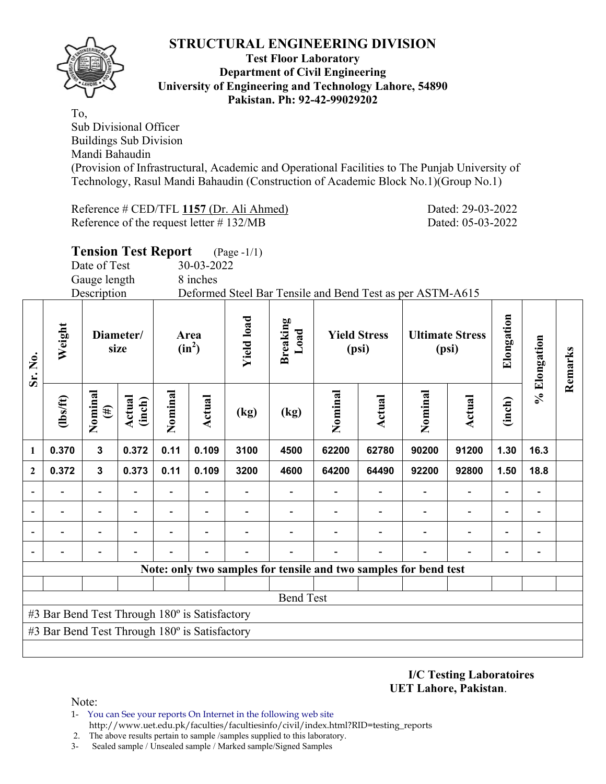

To,

#### **Test Floor Laboratory Department of Civil Engineering University of Engineering and Technology Lahore, 54890 Pakistan. Ph: 92-42-99029202**

Sub Divisional Officer Buildings Sub Division Mandi Bahaudin (Provision of Infrastructural, Academic and Operational Facilities to The Punjab University of Technology, Rasul Mandi Bahaudin (Construction of Academic Block No.1)(Group No.1)

Reference # CED/TFL **1157** (Dr. Ali Ahmed) Dated: 29-03-2022 Reference of the request letter # 132/MB Dated: 05-03-2022

|                | <b>Tension Test Report</b><br>(Page -1/1)<br>Date of Test<br>30-03-2022                                             |                   |                  |         |                          |                          |                                                                  |                          |                              |                        |                |                          |                          |         |
|----------------|---------------------------------------------------------------------------------------------------------------------|-------------------|------------------|---------|--------------------------|--------------------------|------------------------------------------------------------------|--------------------------|------------------------------|------------------------|----------------|--------------------------|--------------------------|---------|
|                |                                                                                                                     |                   |                  |         |                          |                          |                                                                  |                          |                              |                        |                |                          |                          |         |
|                |                                                                                                                     | Gauge length      |                  |         | 8 inches                 |                          |                                                                  |                          |                              |                        |                |                          |                          |         |
|                |                                                                                                                     | Description       |                  |         |                          |                          | Deformed Steel Bar Tensile and Bend Test as per ASTM-A615        |                          |                              |                        |                |                          |                          |         |
| Sr. No.        | Weight                                                                                                              | Diameter/<br>size |                  |         | Area<br>$(in^2)$         | <b>Yield load</b>        | <b>Breaking</b><br>Load                                          |                          | <b>Yield Stress</b><br>(psi) | <b>Ultimate Stress</b> | (psi)          | Elongation               | % Elongation             | Remarks |
|                | $\frac{2}{10}$                                                                                                      | Nominal<br>(#)    | Actual<br>(inch) | Nominal | Actual                   | (kg)                     | (kg)                                                             | Nominal                  | Actual                       | Nominal                | <b>Actual</b>  | (inch)                   |                          |         |
| $\mathbf{1}$   | 0.370<br>$\mathbf{3}$<br>0.372<br>0.11<br>0.109<br>3100<br>62200<br>62780<br>90200<br>91200<br>1.30<br>16.3<br>4500 |                   |                  |         |                          |                          |                                                                  |                          |                              |                        |                |                          |                          |         |
| $\overline{2}$ | 0.372                                                                                                               | $\mathbf{3}$      | 0.373            | 0.11    | 0.109                    | 3200                     | 4600                                                             | 64200                    | 64490                        | 92200                  | 92800          | 1.50                     | 18.8                     |         |
|                |                                                                                                                     |                   |                  |         | $\overline{\phantom{a}}$ | $\overline{\phantom{0}}$ | $\overline{\phantom{a}}$                                         | $\overline{\phantom{a}}$ | $\overline{\phantom{a}}$     | $\overline{a}$         | $\blacksquare$ | $\overline{\phantom{a}}$ | $\overline{\phantom{a}}$ |         |
|                |                                                                                                                     |                   |                  |         |                          | $\overline{a}$           | $\overline{\phantom{0}}$                                         | $\blacksquare$           | $\blacksquare$               |                        |                | $\overline{\phantom{0}}$ |                          |         |
|                |                                                                                                                     |                   |                  |         |                          |                          |                                                                  |                          |                              |                        |                |                          |                          |         |
|                |                                                                                                                     |                   |                  |         |                          |                          |                                                                  |                          |                              |                        |                |                          |                          |         |
|                |                                                                                                                     |                   |                  |         |                          |                          | Note: only two samples for tensile and two samples for bend test |                          |                              |                        |                |                          |                          |         |
|                |                                                                                                                     |                   |                  |         |                          |                          |                                                                  |                          |                              |                        |                |                          |                          |         |
|                |                                                                                                                     |                   |                  |         |                          |                          | <b>Bend Test</b>                                                 |                          |                              |                        |                |                          |                          |         |
|                | #3 Bar Bend Test Through 180° is Satisfactory                                                                       |                   |                  |         |                          |                          |                                                                  |                          |                              |                        |                |                          |                          |         |
|                | #3 Bar Bend Test Through 180° is Satisfactory                                                                       |                   |                  |         |                          |                          |                                                                  |                          |                              |                        |                |                          |                          |         |
|                |                                                                                                                     |                   |                  |         |                          |                          |                                                                  |                          |                              |                        |                |                          |                          |         |

**I/C Testing Laboratoires UET Lahore, Pakistan**.

- 1- You can See your reports On Internet in the following web site http://www.uet.edu.pk/faculties/facultiesinfo/civil/index.html?RID=testing\_reports
- 2. The above results pertain to sample /samples supplied to this laboratory.
- 3- Sealed sample / Unsealed sample / Marked sample/Signed Samples